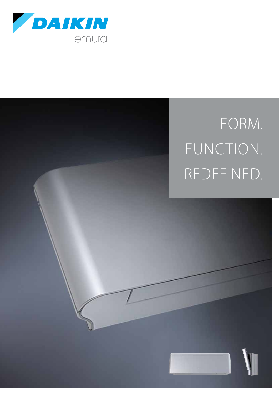

# Form. FUNCTION. redefined.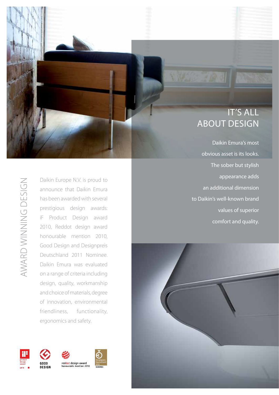# IT'S ALL ABOUT DESIGN

Daikin Emura's most obvious asset is its looks. The sober but stylish appearance adds an additional dimension to Daikin's well-known brand values of superior comfort and quality.



Daikin Europe N.V. is proud to announce that Daikin Emura has been awarded with several prestigious design awards: iF Product Design award 2010, Reddot design award honourable mention 2010,<br>Good Design and Designpreis<br>Deutschland 2011 Nominee. Daikin Emura was evaluated on a range of criteria including design, quality, workmanship and choice of materials, degree of innovation, environmental friendliness, functionality, ergonomics and safety.









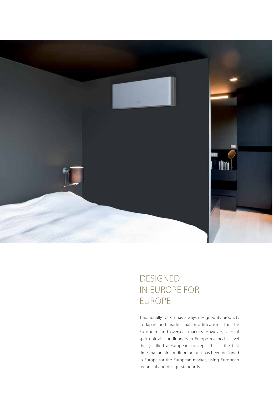

# **DESIGNED** in europe for **EUROPE**

Traditionally Daikin has always designed its products in Japan and made small modifications for the European and overseas markets. However, sales of split unit air conditioners in Europe reached a level that justified a European concept. This is the first time that an air conditioning unit has been designed in Europe for the European market, using European technical and design standards.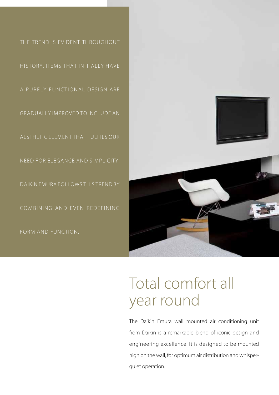



# Total comfort all year round

The Daikin Emura wall mounted air conditioning unit from Daikin is a remarkable blend of iconic design and engineering excellence. It is designed to be mounted high on the wall, for optimum air distribution and whisperquiet operation.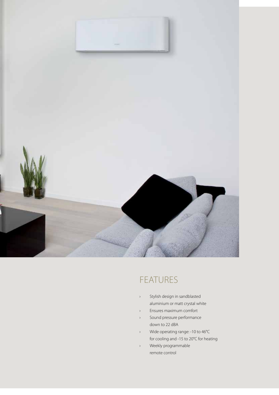

# **FEATURES**

- › Stylish design in sandblasted aluminium or matt crystal white
- › Ensures maximum comfort
- › Sound pressure performance down to 22 dBA
- › Wide operating range: -10 to 46°C for cooling and -15 to 20°C for heating
- › Weekly programmable remote control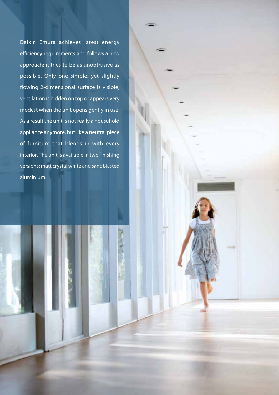Daikin Emura achieves latest energy efficiency requirements and follows a new approach: it tries to be as unobtrusive as possible. Only one simple, yet slightly flowing 2-dimensional surface is visible, ventilation is hidden on top or appears very modest when the unit opens gently in use. As a result the unit is not really a household appliance anymore, but like a neutral piece of furniture that blends in with every interior. The unit is available in two finishing versions: matt crystal white and sandblasted aluminium.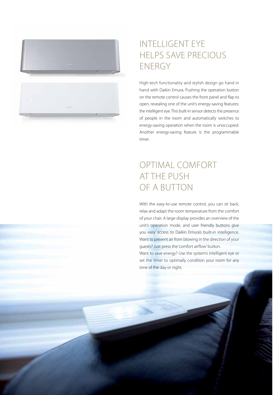

# INTELLIGENT EYE HELPS SAVE PRECIOUS ENERGY

High-tech functionality and stylish design go hand in hand with Daikin Emura. Pushing the operation button on the remote control causes the front panel and flap to open, revealing one of the unit's energy-saving features: the intelligent eye. This built-in sensor detects the presence of people in the room and automatically switches to energy-saving operation when the room is unoccupied. Another energy-saving feature is the programmable timer.

# OPTIMAL COMFORT AT THE PUSH OF A BUTTON

With the easy-to-use remote control, you can sit back, relax and adapt the room temperature from the comfort of your chair. A large display provides an overview of the unit's operation mode, and user friendly buttons give you easy access to Daikin Emura's built-in intelligence. Want to prevent air from blowing in the direction of your guests? Just press the 'comfort airflow' button. Want to save energy? Use the system's intelligent eye or set the timer to optimally condition your room for any time of the day or night.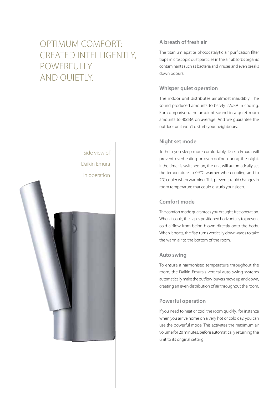# OPTIMUM COMFORT: CREATED INTELLIGENTLY, POWERFULLY AND QUIETLY.



### **A breath of fresh air**

The titanium apatite photocatalytic air purfication filter traps microscopic dust particles in the air, absorbs organic contaminants such as bacteria and viruses and even breaks down odours.

### **Whisper quiet operation**

The indoor unit distributes air almost inaudibly. The sound produced amounts to barely 22dBA in cooling. For comparison, the ambient sound in a quiet room amounts to 40dBA on average. And we guarantee the outdoor unit won't disturb your neighbours.

### **Night set mode**

To help you sleep more comfortably, Daikin Emura will prevent overheating or overcooling during the night. If the timer is switched on, the unit will automatically set the temperature to 0.5°C warmer when cooling and to 2°C cooler when warming. This prevents rapid changes in room temperature that could disturb your sleep.

### **Comfort mode**

The comfort mode guarantees you draught-free operation. When it cools, the flap is positioned horizontally to prevent cold airflow from being blown directly onto the body. When it heats, the flap turns vertically downwards to take the warm air to the bottom of the room.

### **Auto swing**

To ensure a harmonised temperature throughout the room, the Daikin Emura's vertical auto swing systems automatically make the outflow louvers move up and down, creating an even distribution of air throughout the room.

### **Powerful operation**

If you need to heat or cool the room quickly, for instance when you arrive home on a very hot or cold day, you can use the powerful mode. This activates the maximum air volume for 20 minutes, before automatically returning the unit to its original setting.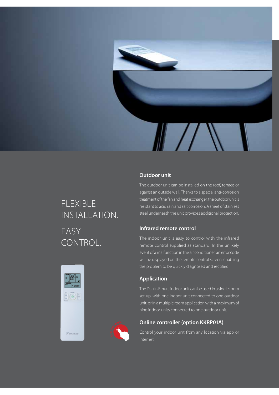

# FLEXIBLE INSTALLATION. EASY CONTROL.

### **Outdoor unit**

The outdoor unit can be installed on the roof, terrace or against an outside wall. Thanks to a special anti-corrosion treatment of the fan and heat exchanger, the outdoor unit is resistant to acid rain and salt corrosion. A sheet of stainless steel underneath the unit provides additional protection.

### **Infrared remote control**

The indoor unit is easy to control with the infrared remote control supplied as standard. In the unlikely event of a malfunction in the air conditioner, an error code will be displayed on the remote control screen, enabling the problem to be quickly diagnosed and rectified.

### **Application**

The Daikin Emura indoor unit can be used in a single room set-up, with one indoor unit connected to one outdoor unit, or in a multiple room application with a maximum of nine indoor units connected to one outdoor unit.

### **Online controller (option KKRP01A)**

Control your indoor unit from any location via app or internet.



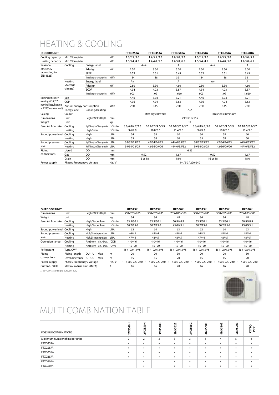# Heating & Cooling

| <b>INDOOR UNIT</b>                                                                            |                                 |                                                    |            | FTXG25JW                                       | FTXG35JW                   | FTXG50JW         | FTXG25JA        | FTXG35JA         | FTXG50JA                                                           |  |  |  |
|-----------------------------------------------------------------------------------------------|---------------------------------|----------------------------------------------------|------------|------------------------------------------------|----------------------------|------------------|-----------------|------------------|--------------------------------------------------------------------|--|--|--|
| Cooling capacity                                                                              | Min./Nom./Max.                  |                                                    | kW         | 1.3/2.5/3.0                                    | 1.4/3.5/3.8                | 1.7/5.0/5.3      | 1.3/2.5/3.0     | 1.4/3.5/3.8      | 1.7/5.0/5.3                                                        |  |  |  |
| Heating capacity                                                                              | Min./Nom./Max.                  |                                                    | kW         | 1.3/3.4/4.5                                    | 1.4/4.0/5.0<br>1.7/5.8/6.5 |                  | 1.3/3.4/4.5     | 1.4/4.0/5.0      | 1.7/5.8/6.5                                                        |  |  |  |
| Seasonal<br>efficiency<br>(according to<br>EN14825)                                           | Coolina                         | Energy label                                       |            | $A++$                                          |                            | A                | $A++$           | A                |                                                                    |  |  |  |
|                                                                                               |                                 | Pdesign                                            | kW         | 2.50                                           | 3.50                       | 5.00             | 2.50            | 3.50             | 5.00                                                               |  |  |  |
|                                                                                               |                                 | <b>SEER</b>                                        |            |                                                | 6.51                       | 5.45             | 6.53            | 6.51             | 5.45                                                               |  |  |  |
|                                                                                               |                                 | Annual energy consumption                          | kWh        | 134                                            | 188                        | 321              | 134             | 188              | 321                                                                |  |  |  |
|                                                                                               | Heating<br>(Average<br>climate) | Energy label                                       |            | $A+$                                           | A                          |                  | $A+$            | A                |                                                                    |  |  |  |
|                                                                                               |                                 | kW<br>Pdesign                                      |            | 2.80                                           | 3.30                       | 4.60             | 2.80            | 3.30             | 4.60                                                               |  |  |  |
|                                                                                               |                                 | SCOP                                               |            | 4.34                                           | 4.23                       | 3.87             | 4.34            | 4.23             | 3.87                                                               |  |  |  |
|                                                                                               |                                 | kWh<br>Annual energy consumption                   |            | 903                                            | 1,091                      | 1,660            | 903             | 1,091            | 1,660                                                              |  |  |  |
| Nominal efficiency<br>(cooling at 35°/27°<br>nominal load, heating<br>at 7°/20° nominal load) | EER                             |                                                    |            | 4.46                                           | 3.93                       | 3.21             | 4.46            | 3.93             | 3.21                                                               |  |  |  |
|                                                                                               | COP                             |                                                    |            | 4.36                                           | 4.04                       | 3.63             | 4.36            | 4.04             | 3.63                                                               |  |  |  |
|                                                                                               | Annual energy consumption       |                                                    | kWh        | 280                                            | 445                        | 780              | 280             | 445              | 780                                                                |  |  |  |
|                                                                                               | Energy label                    | Cooling/Heating                                    |            |                                                | A/A                        |                  |                 |                  |                                                                    |  |  |  |
| Casing                                                                                        | Colour                          |                                                    |            | Matt crystal white<br><b>Brushed aluminium</b> |                            |                  |                 |                  |                                                                    |  |  |  |
| <b>Dimensions</b>                                                                             | Unit                            | HeightxWidthxDepth                                 | mm         |                                                |                            |                  |                 |                  |                                                                    |  |  |  |
| Weight                                                                                        | Unit                            |                                                    | kg         | 11                                             |                            |                  |                 |                  |                                                                    |  |  |  |
| Fan - Air flow rate                                                                           | Coolina                         | High/Nom./Low/Silent operation m <sup>3</sup> /min |            | 8.8/6.8/4.7/3.8                                | 10.1/7.3/4.6/3.9           | 10.3/8.5/6.7/5.7 | 8.8/6.8/4.7/3.8 | 10.1/7.3/4.6/3.9 | 10.3/8.5/6.7/5.7                                                   |  |  |  |
|                                                                                               | Heating                         | High/Nom.                                          | $m^3/m$ in | 9.6/7.9                                        | 10.8/8.6                   | 11.4/9.8         | 9.6/7.9         | 10.8/8.6         | 11.4/9.8<br>60<br>60<br>44/40/35/32<br>44/40/35/32<br>12.7<br>18.0 |  |  |  |
| Sound power level Cooling                                                                     |                                 | High                                               | dBA        | 54                                             | 58                         | 60               | 54              | 58               |                                                                    |  |  |  |
|                                                                                               | Heating                         | High                                               | dBA        | 55                                             | 58                         | 60               | 55              | 58               |                                                                    |  |  |  |
| Sound pressure<br>level                                                                       | Cooling                         | High/Nom./Low/Silent operation   dBA               |            | 38/32/25/22                                    | 42/34/26/23                | 44/40/35/32      | 38/32/25/22     | 42/34/26/23      |                                                                    |  |  |  |
|                                                                                               | Heating                         | High/Nom./Low/Silent operation   dBA               |            | 39/34/28/25                                    | 42/36/29/26                | 44/40/35/32      | 39/34/28/25     | 42/36/29/26      |                                                                    |  |  |  |
| Piping<br>connections                                                                         | Liguid                          | OD                                                 | mm         | 6.35                                           |                            |                  |                 |                  |                                                                    |  |  |  |
|                                                                                               | Gas                             | OD<br>mm                                           |            | 9.52                                           |                            | 12.7             | 9.52            |                  |                                                                    |  |  |  |
|                                                                                               | Drain                           | OD                                                 | mm         | 16 or 18                                       |                            | 18.0             | 16 or 18        |                  |                                                                    |  |  |  |
| Power supply                                                                                  | Phase / Frequency / Voltage     |                                                    | Hz/V       | $1 - 750/220 - 240$                            |                            |                  |                 |                  |                                                                    |  |  |  |



| <b>OUTDOOR UNIT</b>     |                         |                             |                            | <b>RXG25K</b> | <b>RXG35K</b>       | <b>RXG50K</b> | <b>RXG25K</b>       | <b>RXG35K</b>       | <b>RXG50K</b> |                     |
|-------------------------|-------------------------|-----------------------------|----------------------------|---------------|---------------------|---------------|---------------------|---------------------|---------------|---------------------|
| <b>Dimensions</b>       | Unit                    | HeightxWidthxDepth          |                            | mm            | 550x765x285         | 550x765x285   | 735x825x300         | 550x765x285         | 550x765x285   | 735x825x300         |
| Weight                  | Unit                    |                             |                            | kq            | 34                  | 34            | 48                  | 34                  | 34            | 48                  |
| Fan - Air flow rate     | Cooling                 | High/Super low              |                            | $m^3$ /min    | 33.5/30.1           | 33.5/30.1     | 50.9/48.9           | 33.5/30.1           | 33.5/30.1     | 50.9/48.9           |
|                         | Heating                 | High/Super low              |                            | $m^3$ /min    | 30.2/25.6           | 30.2/25.6     | 45.0/43.1           | 30.2/25.6           | 30.2/25.6     | 45.0/43.1           |
| Sound power level       | Coolina                 | Hiah                        |                            | dBA           | 62                  | 64            | 63                  | 62                  | 64            | 63                  |
| Sound pressure<br>level | Cooling                 | High/Silent operation       |                            | dBA           | 46/43               | 48/44         | 48/44               | 46/43               |               | 48/44               |
|                         | Heating                 | High/Silent operation       |                            | dBA           | 47/44               | 48/45         | 48/45               | 47/44               | 48/45         | 48/45               |
| Operation range         | Cooling                 |                             | Ambient Min.~Max.          | °CDB          | $-10 - 46$          | $-10 - 46$    | $-10 - 46$          | $-10 - 46$          | $-10 - 46$    | $-10 - 46$          |
|                         | Heating                 |                             | Ambient   Min.~Max.   °CWB |               | $-15 - 20$          | $-15 - 20$    | $-15 - 20$          | $-15 - 20$          | $-15 - 20$    | $-15 - 20$          |
| Refrigerant             | Type/GWP                |                             |                            |               | R-410A/1.975        | R-410A/1.975  | R-410A/1.975        | R-410A/1.975        | R-410A/1.975  | R-410A/1.975        |
| Piping<br>connections   | Piping length           | OU-IU                       | Max.                       | m             | 20                  | 20            | 30                  | 20                  | 20            | 30                  |
|                         | Level difference        | IU - OU                     | Max.                       | m             | 15                  | 15            | 20                  | 15                  | 15            | 20                  |
| Power supply            |                         | Phase / Frequency / Voltage |                            | Hz/V          | $1 - 750/220 - 240$ | 1~/50/220-240 | $1 - 750/220 - 240$ | $1 - 750/220 - 240$ | 1~/50/220-240 | $1 - 750/220 - 240$ |
| Current - 50Hz          | Maximum fuse amps (MFA) |                             | А                          | 16            | 16                  | 20            | 16                  | 16                  | 20            |                     |

(1) EER/COP according to Eurovent 2012



# Multi combination table

| POSSIBLE COMBINATIONS          | ទ្<br>2MXS | 50H<br>2MXS    | š<br>는                   | 3MXSS2E | <b>S8G</b><br>3MXS | 4MXS68F   | 4MXS80E | 뿡<br>XS9<br>옰 | RX.<br>ౚ<br>$\Delta$ |
|--------------------------------|------------|----------------|--------------------------|---------|--------------------|-----------|---------|---------------|----------------------|
| Maximum number of indoor units |            | $\overline{2}$ | $\overline{\phantom{0}}$ | 3       | 3                  | 4         | 4       |               | 6                    |
| FTXG25JW                       | ٠          |                |                          |         | ٠                  | $\bullet$ |         |               |                      |
| FTXG25JA                       | ٠          | ×              |                          |         | ٠                  | ٠         |         |               |                      |
| FTXG35JW                       | $\bullet$  | ×              |                          |         | ٠                  | $\bullet$ | ٠       |               |                      |
| FTXG35JA                       | $\bullet$  | ×              |                          |         | $\bullet$          | $\bullet$ | ٠       |               |                      |
| FTXG50JW                       |            |                |                          |         |                    | ٠         |         |               |                      |
| FTXG50JA                       |            |                |                          |         | ٠                  | $\bullet$ |         |               |                      |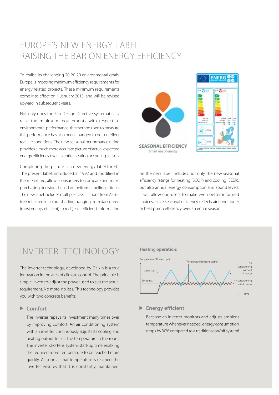## EUROPE'S NEW ENERGY LABEL: raising the bar on energy efficiency

To realise its challenging 20-20-20 environmental goals, Europe is imposing minimum efficiency requirements for energy related projects. These minimum requirements come into effect on 1 January 2013, and will be revised upward in subsequent years.

Not only does the Eco-Design Directive systematically raise the minimum requirements with respect to environmental performance, the method used to measure this performance has also been changed to better reflect real-life conditions. The new seasonal performance rating provides a much more accurate picture of actual expected energy efficiency over an entire heating or cooling season.

Completing the picture is a new energy label for EU. The present label, introduced in 1992 and modified in the meantime, allows consumers to compare and make purchasing decisions based on uniform labelling criteria. The new label includes multiple classifications from A+++ to G reflected in colour shadings ranging from dark green (most energy efficient) to red (least efficient). Information





on the new label includes not only the new seasonal efficiency ratings for heating (SCOP) and cooling (SEER), but also annual energy consumption and sound levels. It will allow end-users to make even better informed choices, since seasonal efficiency reflects air conditioner or heat pump efficiency over an entire season.

### Inverter technology

The inverter technology, developed by Daikin is a true innovation in the area of climate control. The principle is simple: inverters adjust the power used to suit the actual requirement. No more, no less. This technology provides you with two concrete benefits:

### **Comfort**

The inverter repays its investment many times over by improving comfort. An air conditioning system with an inverter continuously adjusts its cooling and heating output to suit the temperature in the room. The inverter shortens system start-up time enabling the required room temperature to be reached more quickly. As soon as that temperature is reached, the inverter ensures that it is constantly maintained.

#### **Heating operation:**



#### **Energy efficient**

Because an inverter monitors and adjusts ambient temperature whenever needed, energy consumption drops by 30% compared to a traditional on/off system!